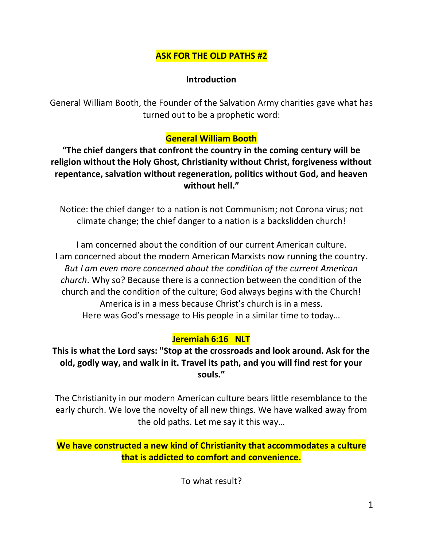# **ASK FOR THE OLD PATHS #2**

### **Introduction**

General William Booth, the Founder of the Salvation Army charities gave what has turned out to be a prophetic word:

### **General William Booth**

**"The chief dangers that confront the country in the coming century will be religion without the Holy Ghost, Christianity without Christ, forgiveness without repentance, salvation without regeneration, politics without God, and heaven without hell."**

Notice: the chief danger to a nation is not Communism; not Corona virus; not climate change; the chief danger to a nation is a backslidden church!

I am concerned about the condition of our current American culture. I am concerned about the modern American Marxists now running the country. *But I am even more concerned about the condition of the current American church*. Why so? Because there is a connection between the condition of the church and the condition of the culture; God always begins with the Church! America is in a mess because Christ's church is in a mess. Here was God's message to His people in a similar time to today…

# **Jeremiah 6:16 NLT**

**This is what the Lord says: "Stop at the crossroads and look around. Ask for the old, godly way, and walk in it. Travel its path, and you will find rest for your souls."**

The Christianity in our modern American culture bears little resemblance to the early church. We love the novelty of all new things. We have walked away from the old paths. Let me say it this way…

**We have constructed a new kind of Christianity that accommodates a culture that is addicted to comfort and convenience.**

To what result?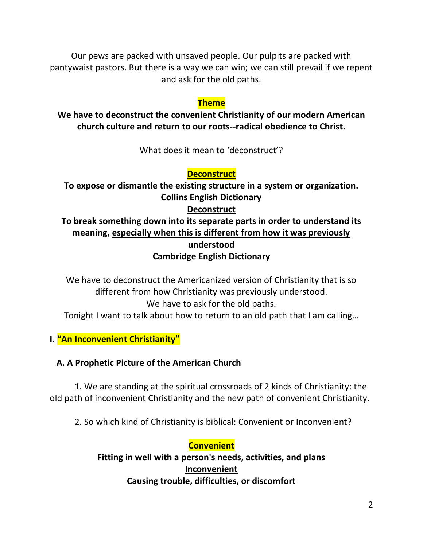Our pews are packed with unsaved people. Our pulpits are packed with pantywaist pastors. But there is a way we can win; we can still prevail if we repent and ask for the old paths.

### **Theme**

**We have to deconstruct the convenient Christianity of our modern American church culture and return to our roots--radical obedience to Christ.**

What does it mean to 'deconstruct'?

### **Deconstruct**

**To expose or dismantle the existing structure in a system or organization. Collins English Dictionary** 

### **Deconstruct**

# **To break something down into its separate parts in order to understand its meaning, especially when this is different from how it was previously understood Cambridge English Dictionary**

We have to deconstruct the Americanized version of Christianity that is so different from how Christianity was previously understood. We have to ask for the old paths. Tonight I want to talk about how to return to an old path that I am calling…

**I. "An Inconvenient Christianity"**

### **A. A Prophetic Picture of the American Church**

1. We are standing at the spiritual crossroads of 2 kinds of Christianity: the old path of inconvenient Christianity and the new path of convenient Christianity.

2. So which kind of Christianity is biblical: Convenient or Inconvenient?

# **Convenient**

**Fitting in well with a person's needs, activities, and plans Inconvenient Causing trouble, difficulties, or discomfort**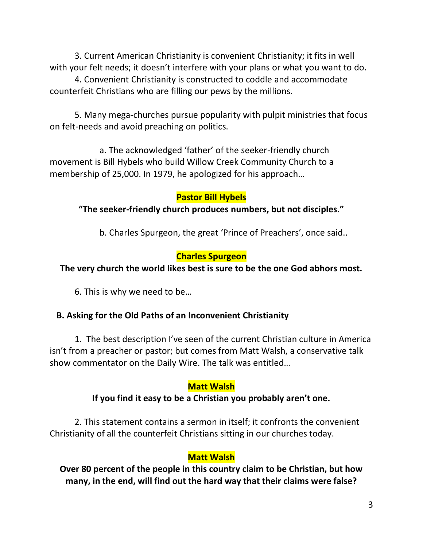3. Current American Christianity is convenient Christianity; it fits in well with your felt needs; it doesn't interfere with your plans or what you want to do.

4. Convenient Christianity is constructed to coddle and accommodate counterfeit Christians who are filling our pews by the millions.

5. Many mega-churches pursue popularity with pulpit ministries that focus on felt-needs and avoid preaching on politics.

a. The acknowledged 'father' of the seeker-friendly church movement is Bill Hybels who build Willow Creek Community Church to a membership of 25,000. In 1979, he apologized for his approach…

### **Pastor Bill Hybels**

**"The seeker-friendly church produces numbers, but not disciples."**

b. Charles Spurgeon, the great 'Prince of Preachers', once said..

### **Charles Spurgeon**

# **The very church the world likes best is sure to be the one God abhors most.**

6. This is why we need to be…

### **B. Asking for the Old Paths of an Inconvenient Christianity**

1. The best description I've seen of the current Christian culture in America isn't from a preacher or pastor; but comes from Matt Walsh, a conservative talk show commentator on the Daily Wire. The talk was entitled…

### **Matt Walsh**

# **If you find it easy to be a Christian you probably aren't one.**

2. This statement contains a sermon in itself; it confronts the convenient Christianity of all the counterfeit Christians sitting in our churches today.

# **Matt Walsh**

**Over 80 percent of the people in this country claim to be Christian, but how many, in the end, will find out the hard way that their claims were false?**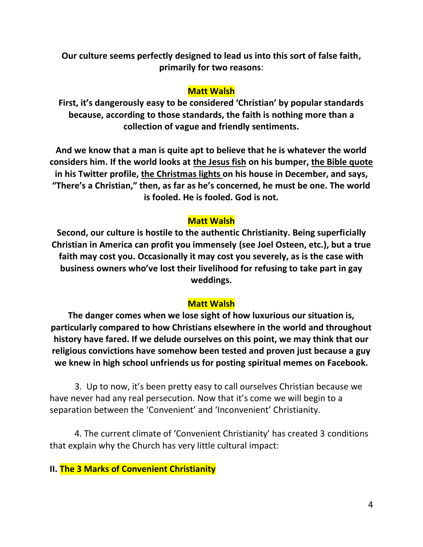**Our culture seems perfectly designed to lead us into this sort of false faith, primarily for two reasons**:

#### **Matt Walsh**

**First, it's dangerously easy to be considered 'Christian' by popular standards because, according to those standards, the faith is nothing more than a collection of vague and friendly sentiments.**

**And we know that a man is quite apt to believe that he is whatever the world considers him. If the world looks at the Jesus fish on his bumper, the Bible quote in his Twitter profile, the Christmas lights on his house in December, and says, "There's a Christian," then, as far as he's concerned, he must be one. The world is fooled. He is fooled. God is not.**

### **Matt Walsh**

**Second, our culture is hostile to the authentic Christianity. Being superficially Christian in America can profit you immensely (see Joel Osteen, etc.), but a true faith may cost you. Occasionally it may cost you severely, as is the case with business owners who've lost their livelihood for refusing to take part in gay weddings.**

### **Matt Walsh**

**The danger comes when we lose sight of how luxurious our situation is, particularly compared to how Christians elsewhere in the world and throughout history have fared. If we delude ourselves on this point, we may think that our religious convictions have somehow been tested and proven just because a guy we knew in high school unfriends us for posting spiritual memes on Facebook.**

3. Up to now, it's been pretty easy to call ourselves Christian because we have never had any real persecution. Now that it's come we will begin to a separation between the 'Convenient' and 'Inconvenient' Christianity.

4. The current climate of 'Convenient Christianity' has created 3 conditions that explain why the Church has very little cultural impact:

#### **II. The 3 Marks of Convenient Christianity**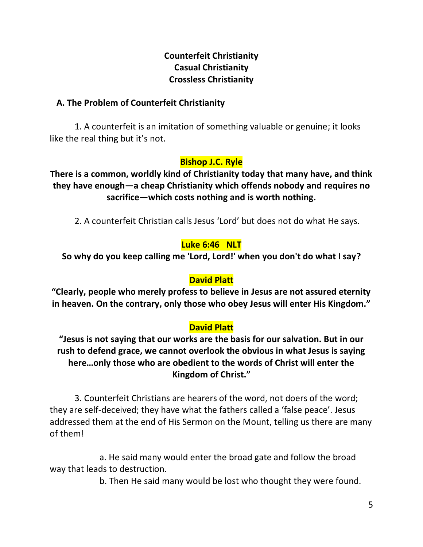# **Counterfeit Christianity Casual Christianity Crossless Christianity**

### **A. The Problem of Counterfeit Christianity**

1. A counterfeit is an imitation of something valuable or genuine; it looks like the real thing but it's not.

# **Bishop J.C. Ryle**

**There is a common, worldly kind of Christianity today that many have, and think they have enough—a cheap Christianity which offends nobody and requires no sacrifice—which costs nothing and is worth nothing.**

2. A counterfeit Christian calls Jesus 'Lord' but does not do what He says.

# **Luke 6:46 NLT**

**So why do you keep calling me 'Lord, Lord!' when you don't do what I say?**

### **David Platt**

**"Clearly, people who merely profess to believe in Jesus are not assured eternity in heaven. On the contrary, only those who obey Jesus will enter His Kingdom."**

# **David Platt**

**"Jesus is not saying that our works are the basis for our salvation. But in our rush to defend grace, we cannot overlook the obvious in what Jesus is saying here…only those who are obedient to the words of Christ will enter the Kingdom of Christ."**

3. Counterfeit Christians are hearers of the word, not doers of the word; they are self-deceived; they have what the fathers called a 'false peace'. Jesus addressed them at the end of His Sermon on the Mount, telling us there are many of them!

a. He said many would enter the broad gate and follow the broad way that leads to destruction.

b. Then He said many would be lost who thought they were found.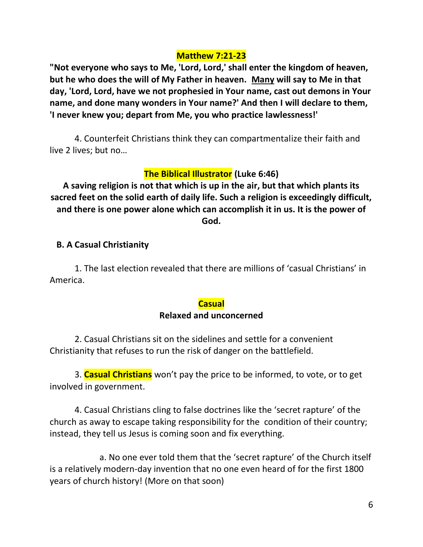#### **Matthew 7:21-23**

**"Not everyone who says to Me, 'Lord, Lord,' shall enter the kingdom of heaven, but he who does the will of My Father in heaven. Many will say to Me in that day, 'Lord, Lord, have we not prophesied in Your name, cast out demons in Your name, and done many wonders in Your name?' And then I will declare to them, 'I never knew you; depart from Me, you who practice lawlessness!'** 

4. Counterfeit Christians think they can compartmentalize their faith and live 2 lives; but no…

# **The Biblical Illustrator (Luke 6:46)**

**A saving religion is not that which is up in the air, but that which plants its sacred feet on the solid earth of daily life. Such a religion is exceedingly difficult, and there is one power alone which can accomplish it in us. It is the power of God.**

### **B. A Casual Christianity**

1. The last election revealed that there are millions of 'casual Christians' in America.

#### **Casual**

#### **Relaxed and unconcerned**

2. Casual Christians sit on the sidelines and settle for a convenient Christianity that refuses to run the risk of danger on the battlefield.

3. **Casual Christians** won't pay the price to be informed, to vote, or to get involved in government.

4. Casual Christians cling to false doctrines like the 'secret rapture' of the church as away to escape taking responsibility for the condition of their country; instead, they tell us Jesus is coming soon and fix everything.

a. No one ever told them that the 'secret rapture' of the Church itself is a relatively modern-day invention that no one even heard of for the first 1800 years of church history! (More on that soon)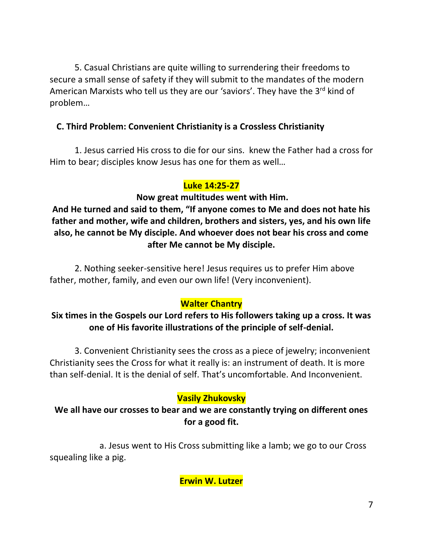5. Casual Christians are quite willing to surrendering their freedoms to secure a small sense of safety if they will submit to the mandates of the modern American Marxists who tell us they are our 'saviors'. They have the 3<sup>rd</sup> kind of problem…

# **C. Third Problem: Convenient Christianity is a Crossless Christianity**

1. Jesus carried His cross to die for our sins. knew the Father had a cross for Him to bear; disciples know Jesus has one for them as well…

### **Luke 14:25-27**

### **Now great multitudes went with Him.**

**And He turned and said to them, "If anyone comes to Me and does not hate his father and mother, wife and children, brothers and sisters, yes, and his own life also, he cannot be My disciple. And whoever does not bear his cross and come after Me cannot be My disciple.** 

2. Nothing seeker-sensitive here! Jesus requires us to prefer Him above father, mother, family, and even our own life! (Very inconvenient).

# **Walter Chantry**

# **Six times in the Gospels our Lord refers to His followers taking up a cross. It was one of His favorite illustrations of the principle of self-denial.**

3. Convenient Christianity sees the cross as a piece of jewelry; inconvenient Christianity sees the Cross for what it really is: an instrument of death. It is more than self-denial. It is the denial of self. That's uncomfortable. And Inconvenient.

# **Vasily Zhukovsky**

# **We all have our crosses to bear and we are constantly trying on different ones for a good fit.**

a. Jesus went to His Cross submitting like a lamb; we go to our Cross squealing like a pig.

**Erwin W. Lutzer**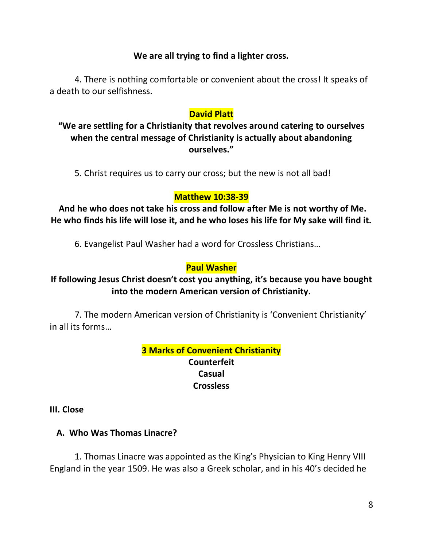### **We are all trying to find a lighter cross.**

4. There is nothing comfortable or convenient about the cross! It speaks of a death to our selfishness.

### **David Platt**

**"We are settling for a Christianity that revolves around catering to ourselves when the central message of Christianity is actually about abandoning ourselves."**

5. Christ requires us to carry our cross; but the new is not all bad!

# **Matthew 10:38-39**

**And he who does not take his cross and follow after Me is not worthy of Me. He who finds his life will lose it, and he who loses his life for My sake will find it.**

6. Evangelist Paul Washer had a word for Crossless Christians…

# **Paul Washer**

# **If following Jesus Christ doesn't cost you anything, it's because you have bought into the modern American version of Christianity.**

7. The modern American version of Christianity is 'Convenient Christianity' in all its forms…

> **3 Marks of Convenient Christianity Counterfeit Casual Crossless**

**III. Close**

 **A. Who Was Thomas Linacre?**

1. Thomas Linacre was appointed as the King's Physician to King Henry VIII England in the year 1509. He was also a Greek scholar, and in his 40's decided he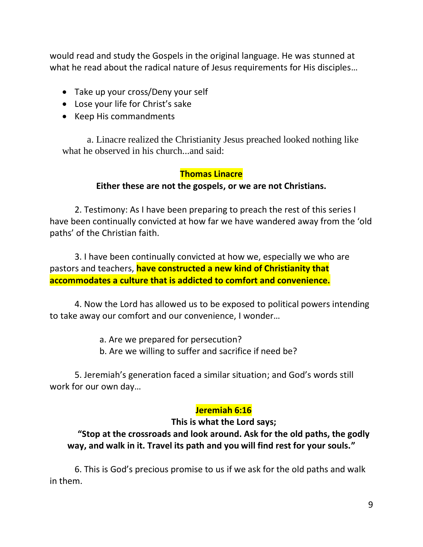would read and study the Gospels in the original language. He was stunned at what he read about the radical nature of Jesus requirements for His disciples…

- Take up your cross/Deny your self
- Lose your life for Christ's sake
- Keep His commandments

a. Linacre realized the Christianity Jesus preached looked nothing like what he observed in his church...and said:

# **Thomas Linacre**

#### **Either these are not the gospels, or we are not Christians.**

2. Testimony: As I have been preparing to preach the rest of this series I have been continually convicted at how far we have wandered away from the 'old paths' of the Christian faith.

3. I have been continually convicted at how we, especially we who are pastors and teachers, **have constructed a new kind of Christianity that accommodates a culture that is addicted to comfort and convenience.**

4. Now the Lord has allowed us to be exposed to political powers intending to take away our comfort and our convenience, I wonder…

a. Are we prepared for persecution?

b. Are we willing to suffer and sacrifice if need be?

5. Jeremiah's generation faced a similar situation; and God's words still work for our own day…

### **Jeremiah 6:16**

**This is what the Lord says;**

# **"Stop at the crossroads and look around. Ask for the old paths, the godly way, and walk in it. Travel its path and you will find rest for your souls."**

6. This is God's precious promise to us if we ask for the old paths and walk in them.